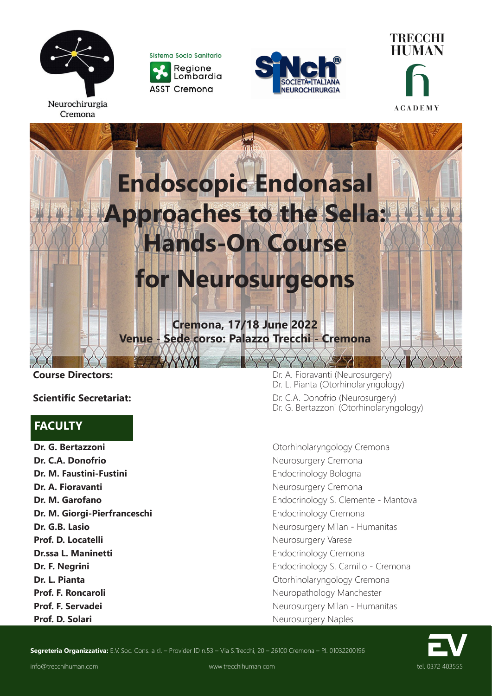

Cremona

Sistema Socio Sanitario Regione Lombardia **ASST Cremona** 







## **FACULTY**

**Dr. G. Bertazzoni Dr. G. Bertazzoni Otorhinolaryngology Cremona Dr. C.A. Donofrio** Neurosurgery Cremona **Dr. M. Faustini-Fustini Endocrinology Bologna Dr. A. Fioravanti Dr. A. Fioravanti Neurosurgery Cremona Dr. M. Giorgi-Pierfranceschi** Endocrinology Cremona **Prof. D. Locatelli** Neurosurgery Varese **Dr.ssa L. Maninetti** Endocrinology Cremona **Dr. L. Pianta Dr. L. Pianta Dr. L. Pianta Otorhinolaryngology Cremona Prof. F. Roncaroli Prof. F. Roncaroli Neuropathology Manchester Prof. D. Solari** Neurosurgery Naples

**Course Directors:** Course Directors: **Course Directors:** Dr. A. Fioravanti (Neurosurgery) Dr. L. Pianta (Otorhinolaryngology) **Scientific Secretariat:** The Superintensity of the Dr. C.A. Donofrio (Neurosurgery) Dr. G. Bertazzoni (Otorhinolaryngology)

**Dr. M. Garofano** Endocrinology S. Clemente - Mantova **Dr. G.B. Lasio** Neurosurgery Milan - Humanitas **Dr. F. Negrini Dr. F. Negrini Endocrinology S. Camillo - Cremona Prof. F. Servadei Prof. F. Servadei Neurosurgery Milan - Humanitas** 



Segreteria Organizzativa: E.V. Soc. Cons. a r.l. - Provider ID n.53 - Via S.Trecchi, 20 - 26100 Cremona - P.I. 01032200196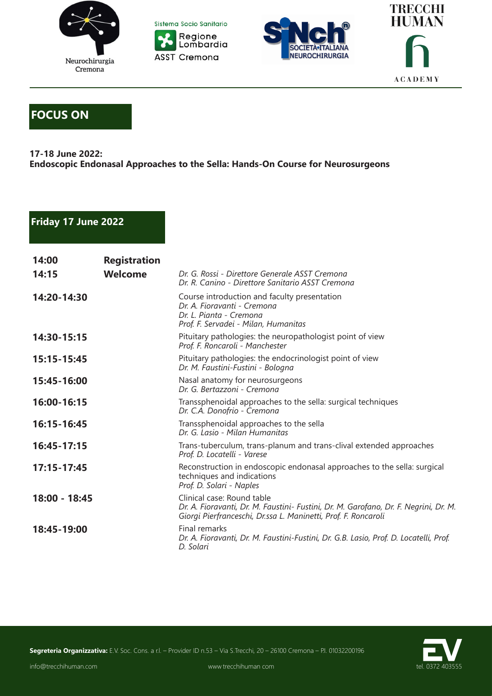







# **FOCUS ON**

#### **17-18 June 2022: Endoscopic Endonasal Approaches to the Sella: Hands-On Course for Neurosurgeons**

### **Friday 17 June 2022**

| 14:00           | <b>Registration</b> |                                                                                                                                                                                      |
|-----------------|---------------------|--------------------------------------------------------------------------------------------------------------------------------------------------------------------------------------|
| 14:15           | <b>Welcome</b>      | Dr. G. Rossi - Direttore Generale ASST Cremona<br>Dr. R. Canino - Direttore Sanitario ASST Cremona                                                                                   |
| 14:20-14:30     |                     | Course introduction and faculty presentation<br>Dr. A. Fioravanti - Cremona<br>Dr. L. Pianta - Cremona<br>Prof. F. Servadei - Milan, Humanitas                                       |
| 14:30-15:15     |                     | Pituitary pathologies: the neuropathologist point of view<br>Prof. F. Roncaroli - Manchester                                                                                         |
| 15:15-15:45     |                     | Pituitary pathologies: the endocrinologist point of view<br>Dr. M. Faustini-Fustini - Bologna                                                                                        |
| 15:45-16:00     |                     | Nasal anatomy for neurosurgeons<br>Dr. G. Bertazzoni - Cremona                                                                                                                       |
| 16:00-16:15     |                     | Transsphenoidal approaches to the sella: surgical techniques<br>Dr. C.A. Donofrio - Cremona                                                                                          |
| 16:15-16:45     |                     | Transsphenoidal approaches to the sella<br>Dr. G. Lasio - Milan Humanitas                                                                                                            |
| 16:45-17:15     |                     | Trans-tuberculum, trans-planum and trans-clival extended approaches<br>Prof. D. Locatelli - Varese                                                                                   |
| $17:15 - 17:45$ |                     | Reconstruction in endoscopic endonasal approaches to the sella: surgical<br>techniques and indications<br>Prof. D. Solari - Naples                                                   |
| 18:00 - 18:45   |                     | Clinical case: Round table<br>Dr. A. Fioravanti, Dr. M. Faustini- Fustini, Dr. M. Garofano, Dr. F. Negrini, Dr. M.<br>Giorgi Pierfranceschi, Dr.ssa L. Maninetti, Prof. F. Roncaroli |
| 18:45-19:00     |                     | Final remarks<br>Dr. A. Fioravanti, Dr. M. Faustini-Fustini, Dr. G.B. Lasio, Prof. D. Locatelli, Prof.<br>D. Solari                                                                  |